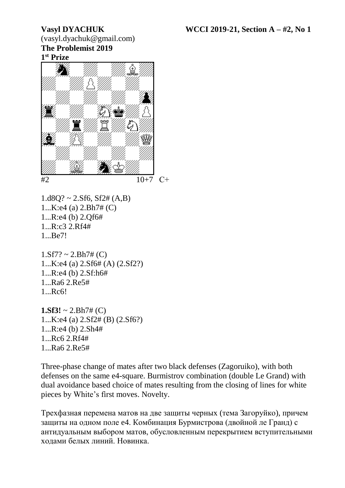(vasyl.dyachuk@gmail.com) **The Problemist 2019 1 st Prize**



 $1.18Q$ ? ~ 2.Sf6, Sf2# (A,B) 1...K:e4 (a) 2.Bh7# (C) 1...R:e4 (b) 2.Qf6# 1...R:c3 2.Rf4# 1...Be7!

 $1.$ Sf7? ~ 2.Bh7# (C) 1...K:e4 (a) 2.Sf6# (A) (2.Sf2?) 1...R:e4 (b) 2.Sf:h6# 1...Ra6 2.Re5# 1...Rc6!

**1.Sf3!**  $\sim$  2.Bh7# (C) 1...K:e4 (a) 2.Sf2# (B) (2.Sf6?) 1...R:e4 (b) 2.Sh4# 1...Rc6 2.Rf4# 1...Ra6 2.Re5#

Three-phase change of mates after two black defenses (Zagoruiko), with both defenses on the same e4-square. Burmistrov combination (double Le Grand) with dual avoidance based choice of mates resulting from the closing of lines for white pieces by White's first moves. Novelty.

Трехфазная перемена матов на две защиты черных (тема Загоруйко), причем защиты на одном поле e4. Комбинация Бурмистрова (двойной ле Гранд) с антидуальным выбором матов, обусловленным перекрытием вступительными ходами белых линий. Новинка.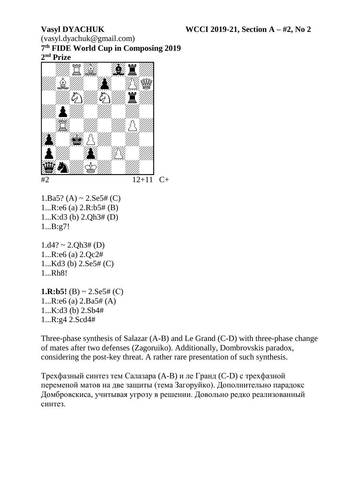(vasyl.dyachuk@gmail.com) **7 th FIDE World Cup in Composing 2019 2 nd Prize**



1.Ba5? (A) ~ 2.Se5# (C) 1...R:e6 (a) 2.R:b5# (B) 1...K:d3 (b) 2.Qh3# (D) 1...B:g7!

 $1. d4? \sim 2. Oh3# (D)$ 1...R:e6 (a) 2.Qc2# 1...Kd3 (b) 2.Se5# (C) 1...Rh8!

**1.R:b5!** (B)  $\sim$  2.Se5# (C) 1...R:e6 (a) 2.Ba5# (A) 1...K:d3 (b) 2.Sb4# 1...R:g4 2.Scd4#

Three-phase synthesis of Salazar (A-B) and Le Grand (C-D) with three-phase change of mates after two defenses (Zagoruiko). Additionally, Dombrovskis paradox, considering the post-key threat. A rather rare presentation of such synthesis.

Трехфазный синтез тем Салазара (A-B) и ле Гранд (C-D) с трехфазной переменой матов на две защиты (тема Загоруйко). Дополнительно парадокс Домбровскиса, учитывая угрозу в решении. Довольно редко реализованный синтез.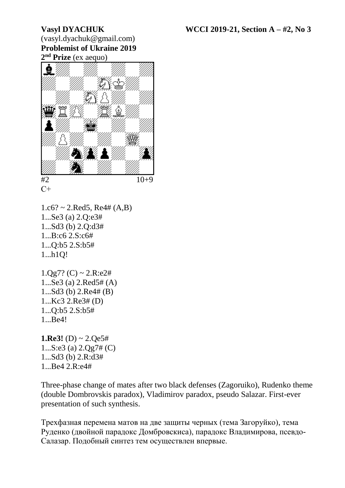## (vasyl.dyachuk@gmail.com) **Problemist of Ukraine 2019 2 nd Prize** (ex aequo)



 $C+$ 

 $1.c6? \sim 2.Red5, Re4# (A,B)$ 1...Se3 (a) 2.Q:e3# 1...Sd3 (b) 2.Q:d3# 1...B:c6 2.S:c6# 1...Q:b5 2.S:b5# 1...h1Q!

 $1.0g7?$  (C) ~  $2. R: e2#$ 1...Se3 (a) 2.Red5# (A) 1...Sd3 (b) 2.Re4# (B) 1...Kc3 2.Re3# (D) 1...Q:b5 2.S:b5# 1...Be4!

**1.Re3!** (D)  $\sim 2.Qe5#$ 1...S:e3 (a) 2.Qg7# (C) 1...Sd3 (b) 2.R:d3# 1...Be4 2.R:e4#

Three-phase change of mates after two black defenses (Zagoruiko), Rudenko theme (double Dombrovskis paradox), Vladimirov paradox, pseudo Salazar. First-ever presentation of such synthesis.

Трехфазная перемена матов на две защиты черных (тема Загоруйко), тема Руденко (двойной парадокс Домбровскиса), парадокс Владимирова, псевдо-Салазар. Подобный синтез тем осуществлен впервые.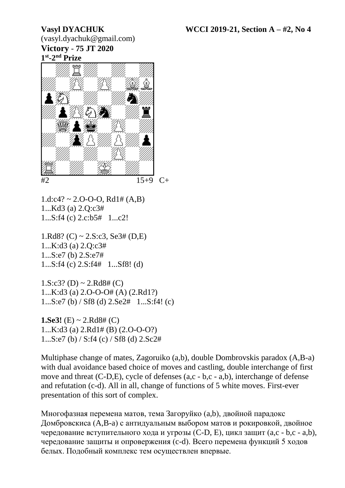(vasyl.dyachuk@gmail.com) **Victory** - **75 JT 2020 1 st -2 nd Prize**



 $15+9$  C+

 $1.d.c4? \sim 2.O-O-O, Rd1# (A,B)$ 1...Kd3 (a) 2.Q:c3# 1...S:f4 (c) 2.c:b5# 1...c2!

1.Rd8? (C)  $\sim$  2.S:c3, Se3# (D,E) 1...K:d3 (a) 2.Q:c3# 1...S:e7 (b) 2.S:e7# 1...S:f4 (c) 2.S:f4# 1...Sf8! (d)

 $1.S: c3? (D) \sim 2.Rd8# (C)$ 1...K:d3 (a) 2.O-O-O# (A) (2.Rd1?) 1...S:e7 (b) / Sf8 (d) 2.Se2# 1...S:f4! (c)

**1.Se3!** (E)  $\sim$  2.Rd8# (C) 1...K:d3 (a) 2.Rd1# (B) (2.O-O-O?) 1...S:e7 (b) / S:f4 (c) / Sf8 (d) 2.Sc2#

Multiphase change of mates, Zagoruiko (a,b), double Dombrovskis paradox (A,B-a) with dual avoidance based choice of moves and castling, double interchange of first move and threat (C-D,E), cycle of defenses (a,c - b,c - a,b), interchange of defense and refutation (c-d). All in all, change of functions of 5 white moves. First-ever presentation of this sort of complex.

Многофазная перемена матов, тема Загоруйко (a,b), двойной парадокс Домбровскиса (A,B-a) с антидуальным выбором матов и рокировкой, двойное чередование вступительного хода и угрозы (C-D, E), цикл защит (a,c - b,c - a,b), чередование защиты и опровержения (c-d). Всего перемена функций 5 ходов белых. Подобный комплекс тем осуществлен впервые.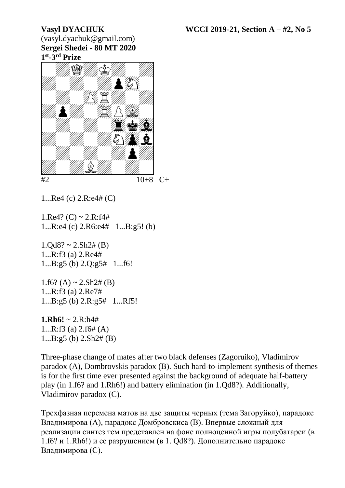(vasyl.dyachuk@gmail.com) **Sergei Shedei** - **80 MT 2020 1 st -3 rd Prize**



1...Re4 (c) 2.R:e4# (C)

1.Re4? (C) ~ 2.R:f4# 1...R:e4 (c) 2.R6:e4# 1...B:g5! (b)

 $1.0d8? \sim 2.5h2# (B)$ 1...R:f3 (a) 2.Re4# 1...B:g5 (b) 2.Q:g5# 1...f6!

 $1.f6? (A) \sim 2.Sh2\# (B)$ 1...R:f3 (a) 2.Re7# 1...B:g5 (b) 2.R:g5# 1...Rf5!

**1.Rh6!**  $\sim$  2.R:h4# 1...R:f3 (a) 2.f6# (A) 1...B:g5 (b) 2.Sh2# (B)

Three-phase change of mates after two black defenses (Zagoruiko), Vladimirov paradox (A), Dombrovskis paradox (B). Such hard-to-implement synthesis of themes is for the first time ever presented against the background of adequate half-battery play (in 1.f6? and 1.Rh6!) and battery elimination (in 1.Qd8?). Additionally, Vladimirov paradox (C).

Трехфазная перемена матов на две защиты черных (тема Загоруйко), парадокс Владимирова (А), парадокс Домбровскиса (В). Впервые сложный для реализации синтез тем представлен на фоне полноценной игры полубатареи (в 1.f6? и 1.Rh6!) и ее разрушением (в 1. Qd8?). Дополнительно парадокс Владимирова (С).